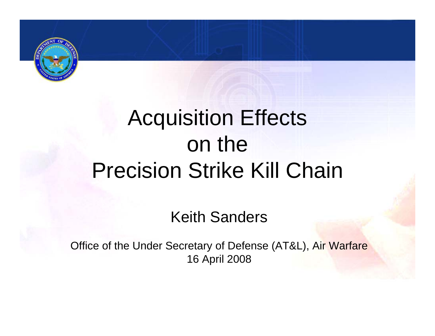

# Acquisition Effects on the Precision Strike Kill Chain

#### Keith Sanders

Office of the Under Secretary of Defense (AT&L), Air Warfare 16 April 2008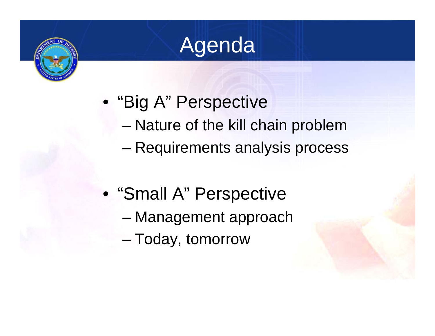

### Agenda

- "Big A" Perspective
	- Nature of the kill chain problem
	- and the state of the state Requirements analysis process
- "Small A" Perspective
	- Management approach
	- and the state of the state Today, tomorrow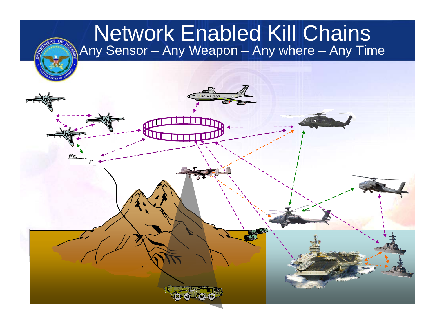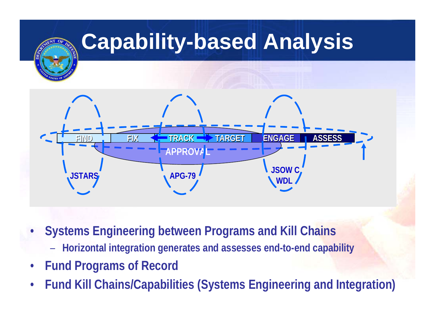

- • **Systems Engineering between Programs and Kill Chains**
	- **Horizontal integration generates and assesses end-to-end capability**
- •**Fund Programs of Record**
- •**Fund Kill Chains/Capabilities (Systems Engineering and Integration)**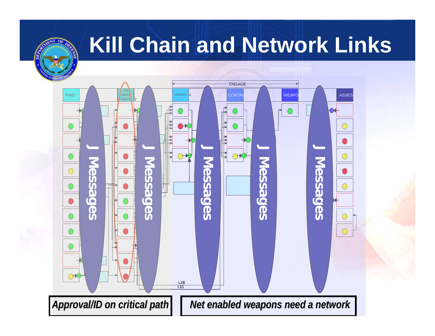

#### **Kill Chain and Network Links**

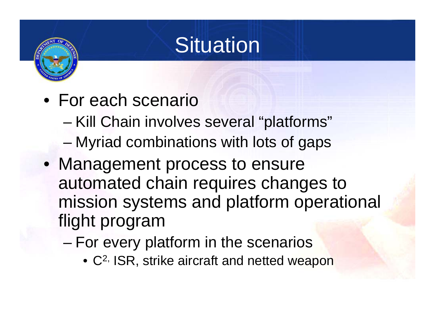# **Situation**

- For each scenario
	- and the state of the state Kill Chain involves several "platforms"
	- and the state of Myriad combinations with lots of gaps
- Management process to ensure automated chain requires changes to mission systems and platform operational flight program
	- – For every platform in the scenarios
		- C<sup>2,</sup> ISR, strike aircraft and netted weapon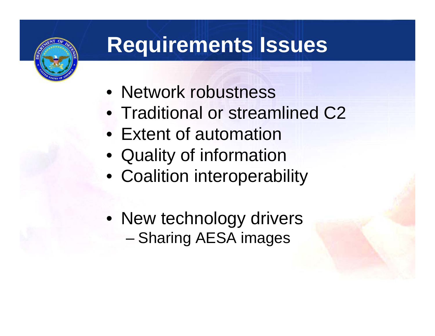

## **Requirements Issues**

- Network robustness
- Traditional or streamlined C2
- Extent of automation
- Quality of information
- Coalition interoperability
- New technology drivers –Sharing AESA images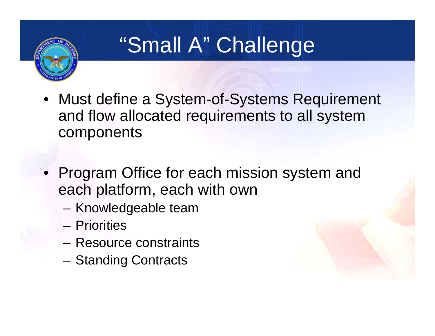

# "Small A" Challenge

- Must define a System-of-Systems Requirement and flow allocated requirements to all system components
- Program Office for each mission system and each platform, each with own
	- **Links of the Company** Knowledgeable team
	- Priorities
	- Resource constraints
	- and the state of the Standing Contracts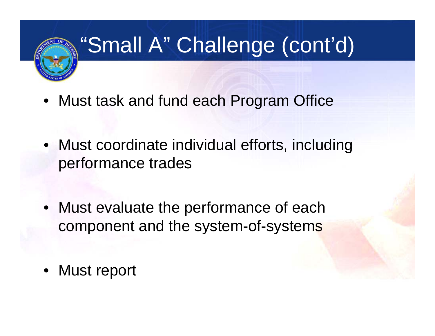

# "Small A" Challenge (cont'd)

- Must task and fund each Program Office
- Must coordinate individual efforts, including performance trades
- Must evaluate the performance of each component and the system-of-systems
- Must report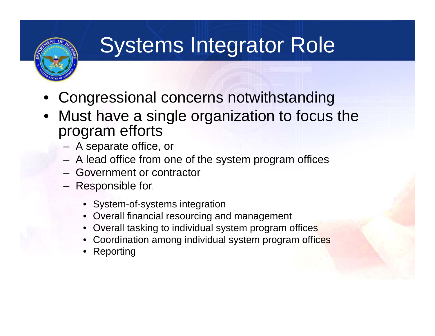

# Systems Integrator Role

- Congressional concerns notwithstanding
- • Must have a single organization to focus the program efforts
	- A separate office, or
	- A lead office from one of the system program offices
	- Government or contractor
	- Responsible for:
		- System-of-systems integration
		- Overall financial resourcing and management
		- Overall tasking to individual system program offices
		- Coordination among individual system program offices
		- Reporting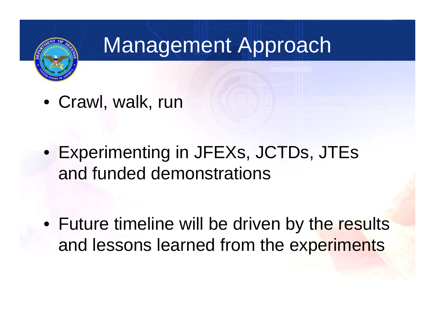

### Management Approach

• Crawl, walk, run

• Experimenting in JFEXs, JCTDs, JTEs and funded demonstrations

• Future timeline will be driven by the results and lessons learned from the experiments